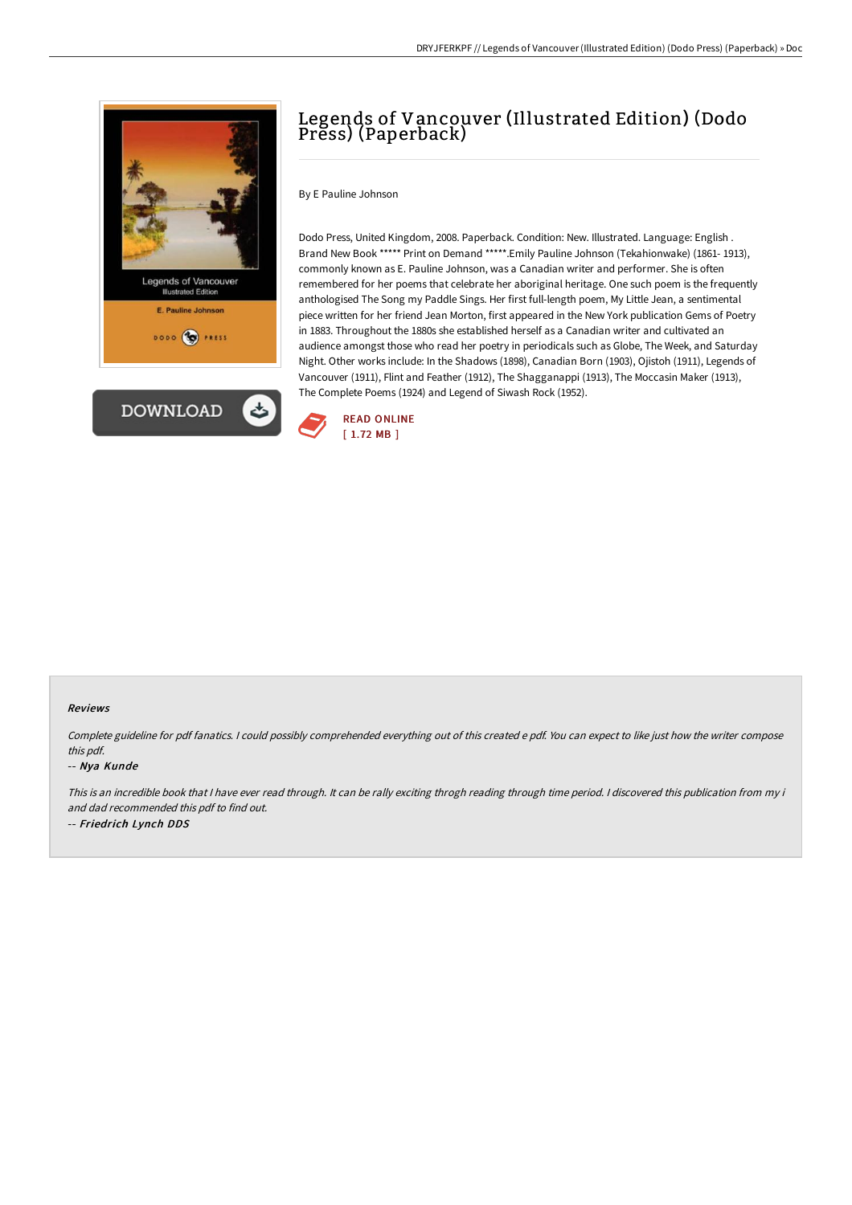



# Legends of Vancouver (Illustrated Edition) (Dodo Press) (Paperback)

By E Pauline Johnson

Dodo Press, United Kingdom, 2008. Paperback. Condition: New. Illustrated. Language: English . Brand New Book \*\*\*\*\* Print on Demand \*\*\*\*\*.Emily Pauline Johnson (Tekahionwake) (1861- 1913), commonly known as E. Pauline Johnson, was a Canadian writer and performer. She is often remembered for her poems that celebrate her aboriginal heritage. One such poem is the frequently anthologised The Song my Paddle Sings. Her first full-length poem, My Little Jean, a sentimental piece written for her friend Jean Morton, first appeared in the New York publication Gems of Poetry in 1883. Throughout the 1880s she established herself as a Canadian writer and cultivated an audience amongst those who read her poetry in periodicals such as Globe, The Week, and Saturday Night. Other works include: In the Shadows (1898), Canadian Born (1903), Ojistoh (1911), Legends of Vancouver (1911), Flint and Feather (1912), The Shagganappi (1913), The Moccasin Maker (1913), The Complete Poems (1924) and Legend of Siwash Rock (1952).



#### Reviews

Complete guideline for pdf fanatics. <sup>I</sup> could possibly comprehended everything out of this created <sup>e</sup> pdf. You can expect to like just how the writer compose this pdf.

#### -- Nya Kunde

This is an incredible book that I have ever read through. It can be rally exciting throgh reading through time period. I discovered this publication from my i and dad recommended this pdf to find out. -- Friedrich Lynch DDS